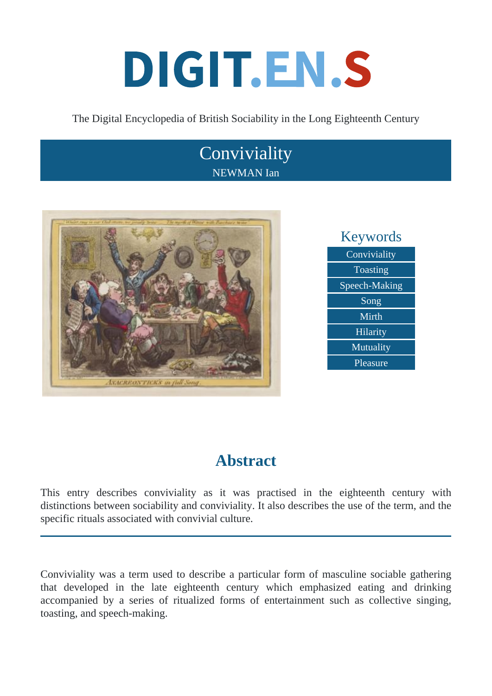# DIGIT.EN.S

The Digital Encyclopedia of British Sociability in the Long Eighteenth Century

## **Conviviality** NEWMAN Ian





## **Abstract**

This entry describes conviviality as it was practised in the eighteenth century with distinctions between sociability and conviviality. It also describes the use of the term, and the specific rituals associated with convivial culture.

Conviviality was a term used to describe a particular form of masculine sociable gathering that developed in the late eighteenth century which emphasized eating and drinking accompanied by a series of ritualized forms of entertainment such as collective singing, toasting, and speech-making.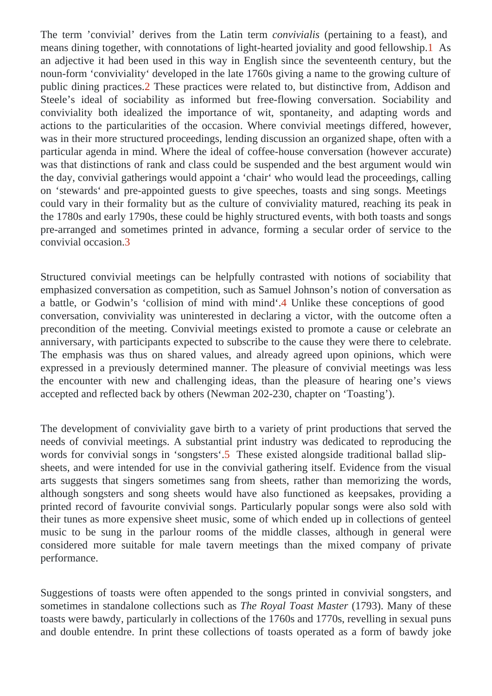The term convivial derives from the Latin term onvivialis (pertaining to a feast), and means dining together, with connotations of light-hearted joviality and good fellowship. an adjective it had been used in this way in English since the seventeenth century, but the noun-form 'conviviality' developed in the late 1760s giving a name to the growing culture of public dining practice **2**. These practices were related to, but distinctive from, Addison and Steele's ideal of sociability as informed but free-flowing conversation. Sociability and conviviality both idealized the importance of wit, spontaneity, and adapting words and actions to the particularities of the occasion. Where convivial meetings differed, however, was in their more structured proceedings, lending discussion an organized shape, often with a particular agenda in mind. Where the ideal of coffee-house conversation (however accurate) was that distinctions of rank and class could be suspended and the best argument would wi the day, convivial gatherings would appoint bair' who would lead the proceedings, calling on 'stewards' and pre-appointed guests to give speeches, toasts and sing songs. Meetings could vary in their formality but as the culture of conviviality matured, reaching its peak in the 1780s and early 1790s, these could be highly structured events, with both toasts and song pre-arranged and sometimes printed in advance, forming a secular order of service to the convivial occasion.

Structured convivial meetings can be helpfully contrasted with notions of sociability that emphasized conversation as competition, such as Samuel Johnson's notion of conversation as a battle, or Godwin's collision of mind with mind.4 Unlike these conceptions of good conversation, conviviality was uninterested in declaring a victor, with the outcome often a precondition of the meeting. Convivial meetings existed to promote a cause or celebrate an anniversary, with participants expected to subscribe to the cause they were there to celebrate. The emphasis was thus on shared values, and already agreed upon opinions, which were expressed in a previously determined manner. The pleasure of convivial meetings was les the encounter with new and challenging ideas, than the pleasure of hearing one's views accepted and reflected back by others (Newman 202-230, chapter as ting?).

The development of conviviality gave birth to a variety of print productions that served the needs of convivial meetings. A substantial print industry was dedicated to reproducing the words for convivial songs in songster's<sup>5</sup> These existed alongside traditional ballad slipsheets, and were intended for use in the convivial gathering itself. Evidence from the visual arts suggests that singers sometimes sang from sheets, rather than memorizing the word although songsters and song sheets would have also functioned as keepsakes, providing printed record of favourite convivial songs. Particularly popular songs were also sold with their tunes as more expensive sheet music, some of which ended up in collections of gentee music to be sung in the parlour rooms of the middle classes, although in general were considered more suitable for male tavern meetings than the mixed company of private performance.

Suggestions of toasts were often appended to the songs printed in convivial songsters, an sometimes in standalone collections such as Royal Toast Master (1793). Many of these toasts were bawdy, particularly in collections of the 1760s and 1770s, revelling in sexual puns and double entendre. In print these collections of toasts operated as a form of bawdy joke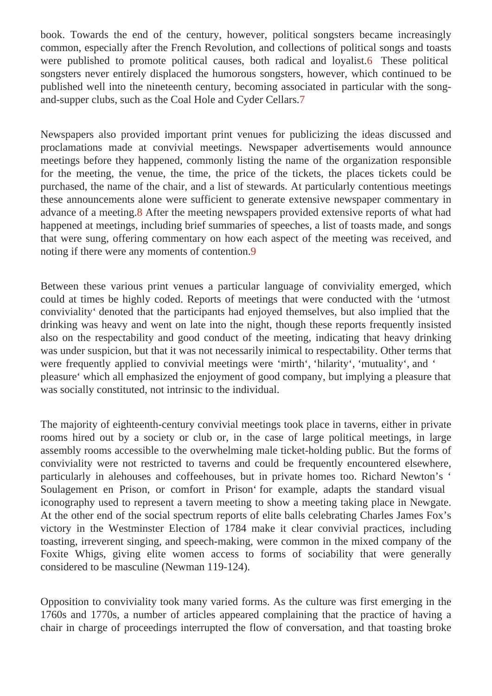book. Towards the end of the century, however, political songsters became increasingly common, especially after the French Revolution, and collections of political songs and toasts were published to promote political causes, both radical and logalistiese political songsters never entirely displaced the humorous songsters, however, which continued to b published well into the nineteenth century, becoming associated in particular with the songand-supper clubs, such as the Coal Hole and Cyder Cellars.

Newspapers also provided important print venues for publicizing the ideas discussed and proclamations made at convivial meetings. Newspaper advertisements would announce meetings before they happened, commonly listing the name of the organization responsible for the meeting, the venue, the time, the price of the tickets, the places tickets could be purchased, the name of the chair, and a list of stewards. At particularly contentious meetings these announcements alone were sufficient to generate extensive newspaper commentary advance of a meetin after the meeting newspapers provided extensive reports of what had happened at meetings, including brief summaries of speeches, a list of toasts made, and song that were sung, offering commentary on how each aspect of the meeting was received, and noting if there were any moments of contention.

Between these various print venues a particular language of conviviality emerged, which could at times be highly coded. Reports of meetings that were conducted with the st conviviality' denoted that the participants had enjoyed themselves, but also implied that the drinking was heavy and went on late into the night, though these reports frequently insisted also on the respectability and good conduct of the meeting, indicating that heavy drinking was under suspicion, but that it was not necessarily inimical to respectability. Other terms that were frequently applied to convivial meetings wereinth', 'hilarity', 'mutuality', and' pleasure' which all emphasized the enjoyment of good company, but implying a pleasure that was socially constituted, not intrinsic to the individual.

The majority of eighteenth-century convivial meetings took place in taverns, either in private rooms hired out by a society or club or, in the case of large political meetings, in large assembly rooms accessible to the overwhelming male ticket-holding public. But the forms of conviviality were not restricted to taverns and could be frequently encountered elsewhere, particularly in alehouses and coffeehouses, but in private homes too. Richard Néwton's Soulagement en Prison, or comfort in Priston example, adapts the standard visual iconography used to represent a tavern meeting to show a meeting taking place in Newgate. At the other end of the social spectrum approperties of elite balls celebrating Charles James Fox's victory in the Westminster Election of 1784 make it clear convivial practices, including toasting, irreverent singing, and speech-making, were common in the mixed company of the Foxite Whigs, giving elite women access to forms of sociability that were generally considered to be masculined (wman 119-124).

Opposition to conviviality took many varied forms. As the culture was first emerging in the 1760s and 1770s, a number of articles appeared complaining that the practice of having a chair in charge of proceedings interrupted the flow of conversation, and that toasting broke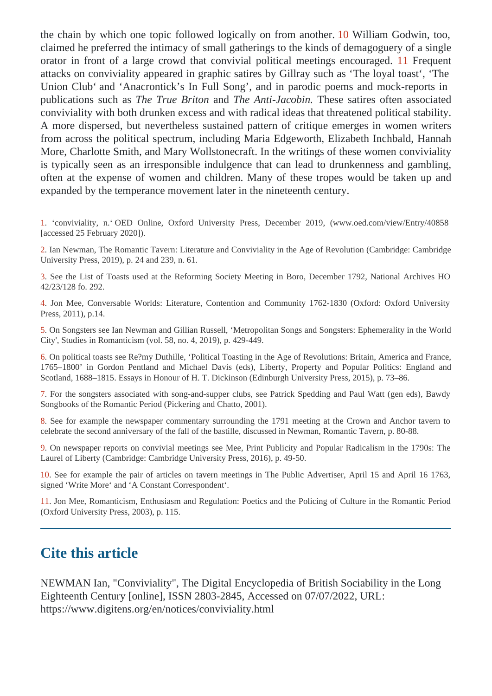the chain by which one topic followed logically on from another. William Godwin, too, claimed he preferred the intimacy of small gatherings to the kinds of demagoguery of a single orator in front of a large crowd that convivial political meetings encouraged requent attacks on conviviality appeared in graphic satires by Gillray such as loyal toast 'The Union Club' and 'Anacrontick's In Full Song', and in parodic poems and mock-reports in publications such as The True Briton and The Anti-Jacobin. These satires often associated conviviality with both drunken excess and with radical ideas that threatened political stability. A more dispersed, but nevertheless sustained pattern of critique emerges in women writers from across the political spectrum, including Maria Edgeworth, Elizabeth Inchbald, Hannah More, Charlotte Smith, and Mary Wollstonecraft. In the writings of these women conviviality is typically seen as an irresponsible indulgence that can lead to drunkenness and gambling, often at the expense of women and children. Many of these tropes would be taken up and expanded by the temperance movement later in the nineteenth century.

1. 'conviviality, n.' OED Online, Oxford University Press, December 2019, (www.oed.com/view/Entry/40858 [accessed 25 February 2020]).

2. Ian Newman, The Romantic Tavern: Literature and Conviviality in the Age of Revolution (Cambridge: Cambridge University Press, 2019), p. 24 and 239, n. 61.

3. See the List of Toasts used at the Reforming Society Meeting in Boro, December 1792, National Archives HO 42/23/128 fo. 292.

4. Jon Mee, Conversable Worlds: Literature, Contention and Community 1762-1830 (Oxford: Oxford University Press, 2011), p.14.

5. On Songsters see Ian Newman and Gillian Russell, 'Metropolitan Songs and Songsters: Ephemerality in the World City', Studies in Romanticism (vol. 58, no. 4, 2019), p. 429-449.

6. On political toasts see Re?my Duthille, 'Political Toasting in the Age of Revolutions: Britain, America and France, 1765–1800' in Gordon Pentland and Michael Davis (eds), Liberty, Property and Popular Politics: England and Scotland, 1688–1815. Essays in Honour of H. T. Dickinson (Edinburgh University Press, 2015), p. 73–86.

7. For the songsters associated with song-and-supper clubs, see Patrick Spedding and Paul Watt (gen eds), Bawdy Songbooks of the Romantic Period (Pickering and Chatto, 2001).

8. See for example the newspaper commentary surrounding the 1791 meeting at the Crown and Anchor tavern to celebrate the second anniversary of the fall of the bastille, discussed in Newman, Romantic Tavern, p. 80-88.

9. On newspaper reports on convivial meetings see Mee, Print Publicity and Popular Radicalism in the 1790s: The Laurel of Liberty (Cambridge: Cambridge University Press, 2016), p. 49-50.

10. See for example the pair of articles on tavern meetings in The Public Advertiser, April 15 and April 16 1763, signed 'Write More' and 'A Constant Correspondent'.

11. Jon Mee, Romanticism, Enthusiasm and Regulation: Poetics and the Policing of Culture in the Romantic Period (Oxford University Press, 2003), p. 115.

### Cite this article

NEWMAN Ian, "Conviviality", The Digital Encyclopedia of British Sociability in the Long Eighteenth Centur [online], ISSN 2803-2845, Accessed on 07/07/2022, URL: https://www.digitens.org/en/notices/conviviality.html